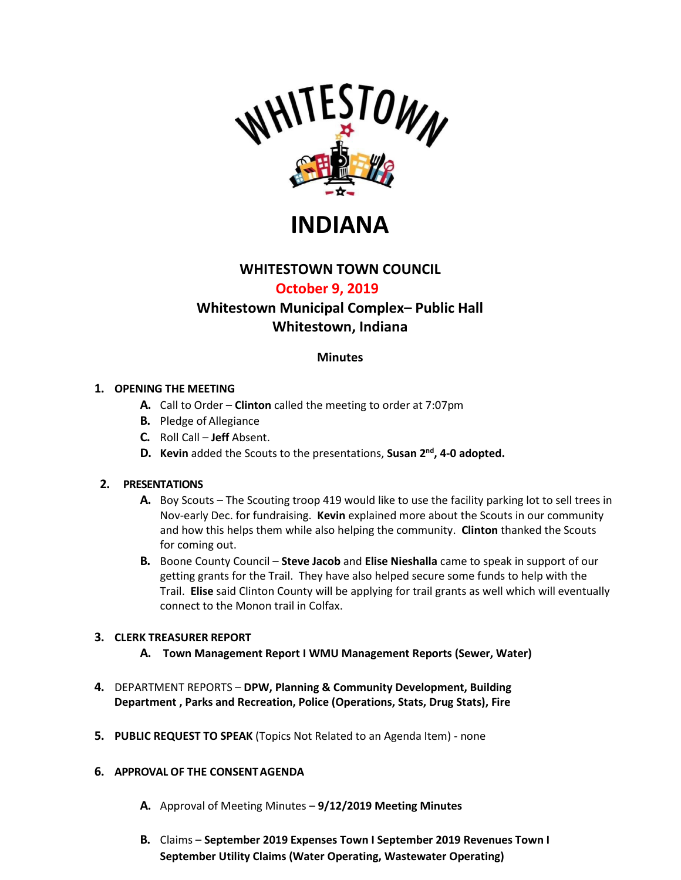

**INDIANA**

# **WHITESTOWN TOWN COUNCIL**

# **October 9, 2019**

# **Whitestown Municipal Complex– Public Hall Whitestown, Indiana**

## **Minutes**

#### **1. OPENING THE MEETING**

- **A.** Call to Order **Clinton** called the meeting to order at 7:07pm
- **B.** Pledge of Allegiance
- **C.** Roll Call **Jeff** Absent.
- **D. Kevin** added the Scouts to the presentations, **Susan 2nd, 4-0 adopted.**

#### **2. PRESENTATIONS**

- **A.** Boy Scouts The Scouting troop 419 would like to use the facility parking lot to sell trees in Nov-early Dec. for fundraising. **Kevin** explained more about the Scouts in our community and how this helps them while also helping the community. **Clinton** thanked the Scouts for coming out.
- **B.** Boone County Council **Steve Jacob** and **Elise Nieshalla** came to speak in support of our getting grants for the Trail. They have also helped secure some funds to help with the Trail. **Elise** said Clinton County will be applying for trail grants as well which will eventually connect to the Monon trail in Colfax.

## **3. CLERK TREASURER REPORT**

- **A. [Town Management Report I](https://whitestown.in.gov/vertical/sites/%7BB8BE8AC3-9DE8-4247-BCB0-1173F48CC7C3%7D/uploads/Whitestown_Management_Report_August.pdf) WMU Management Reports [\(Sewer,](https://whitestown.in.gov/vertical/sites/%7BB8BE8AC3-9DE8-4247-BCB0-1173F48CC7C3%7D/uploads/09_-_WMU_Management_Report_(SEWER).pdf) [Water\)](https://whitestown.in.gov/vertical/sites/%7BB8BE8AC3-9DE8-4247-BCB0-1173F48CC7C3%7D/uploads/09_-_WMU_Management_Report_(WATER).pdf)**
- **4.** DEPARTMENT REPORTS **[DPW,](https://whitestown.in.gov/vertical/sites/%7BB8BE8AC3-9DE8-4247-BCB0-1173F48CC7C3%7D/uploads/September_2019_Street_Dept_Report.pdf) [Planning & Community Development,](https://whitestown.in.gov/vertical/sites/%7BB8BE8AC3-9DE8-4247-BCB0-1173F48CC7C3%7D/uploads/September_2019_Planning__Community_Development_Dept_Report.pdf) [Building](https://whitestown.in.gov/vertical/sites/%7BB8BE8AC3-9DE8-4247-BCB0-1173F48CC7C3%7D/uploads/September_2019_Building_Department_Report.pdf) [Department ,](https://whitestown.in.gov/vertical/sites/%7BB8BE8AC3-9DE8-4247-BCB0-1173F48CC7C3%7D/uploads/September_2019_Building_Department_Report.pdf) [Parks and Recreation,](https://whitestown.in.gov/vertical/sites/%7BB8BE8AC3-9DE8-4247-BCB0-1173F48CC7C3%7D/uploads/September_2019_Parks_Department_Report.pdf) Police [\(Operations,](https://whitestown.in.gov/vertical/sites/%7BB8BE8AC3-9DE8-4247-BCB0-1173F48CC7C3%7D/uploads/September_2019_WMPD_Report.pdf) [Stats,](https://whitestown.in.gov/vertical/sites/%7BB8BE8AC3-9DE8-4247-BCB0-1173F48CC7C3%7D/uploads/September_2019_WMPD_Statistical_Data.pdf) [Drug Stats\)](https://whitestown.in.gov/vertical/sites/%7BB8BE8AC3-9DE8-4247-BCB0-1173F48CC7C3%7D/uploads/September_2019_WMPD_Drug_Statistics.pdf), [Fire](https://whitestown.in.gov/vertical/sites/%7BB8BE8AC3-9DE8-4247-BCB0-1173F48CC7C3%7D/uploads/September_2019_WFD_Report.pdf)**
- **5. PUBLIC REQUEST TO SPEAK** (Topics Not Related to an Agenda Item) none

#### **6. APPROVAL OF THE CONSENTAGENDA**

- **A.** Approval of Meeting Minutes **[9/12/2019 Meeting Minutes](https://whitestown.in.gov/vertical/sites/%7BB8BE8AC3-9DE8-4247-BCB0-1173F48CC7C3%7D/uploads/9-12-19_Whitestown_Town_Council_Regular_Meeting_Minutes.pdf)**
- **B.** Claims **[September 2019 Expenses Town I](https://whitestown.in.gov/vertical/sites/%7BB8BE8AC3-9DE8-4247-BCB0-1173F48CC7C3%7D/uploads/Sept_2019_Disbursements.pdf) [September 2019 Revenues Town I](https://whitestown.in.gov/vertical/sites/%7BB8BE8AC3-9DE8-4247-BCB0-1173F48CC7C3%7D/uploads/Sept_2019_Fee_Receipts.pdf) September Utility Claims [\(Water Operating,](http://whitestown.in.gov/vertical/sites/%7BB8BE8AC3-9DE8-4247-BCB0-1173F48CC7C3%7D/uploads/Water_Operating_Claims_Docket_09.12.19.pdf) [Wastewater Operating\)](https://whitestown.in.gov/vertical/sites/%7BB8BE8AC3-9DE8-4247-BCB0-1173F48CC7C3%7D/uploads/September_2019_Sewer_Operating_Claims_Docket.pdf)**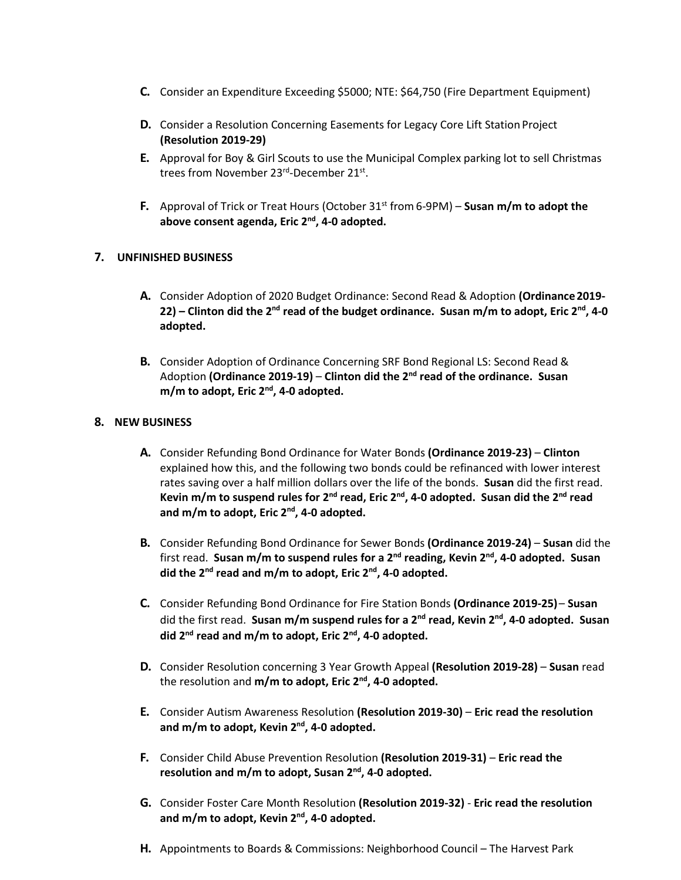- **C.** Consider an Expenditure Exceeding \$5000; NTE: \$64,750 (Fire Department Equipment)
- **D.** Consider a Resolution Concerning Easements for Legacy Core Lift Station Project **(Resolution 2019-29)**
- **E.** Approval for Boy & Girl Scouts to use the Municipal Complex parking lot to sell Christmas trees from November 23rd-December 21st.
- **F.** Approval of Trick or Treat Hours (October 31<sup>st</sup> from 6-9PM) Susan m/m to adopt the **above consent agenda, Eric 2nd, 4-0 adopted.**

## **7. UNFINISHED BUSINESS**

- **A.** Consider Adoption of 2020 Budget Ordinance: Second Read & Adoption **(Ordinance2019-** 22) – Clinton did the 2<sup>nd</sup> read of the budget ordinance. Susan m/m to adopt, Eric 2<sup>nd</sup>, 4-0 **adopted.**
- **B.** Consider Adoption of Ordinance Concerning SRF Bond Regional LS: Second Read & Adoption **(Ordinance 2019-19)** – **Clinton did the 2nd read of the ordinance. Susan m/m to adopt, Eric 2nd , 4-0 adopted.**

#### **8. NEW BUSINESS**

- **A.** Consider Refunding Bond Ordinance for Water Bonds **(Ordinance 2019-23) Clinton** explained how this, and the following two bonds could be refinanced with lower interest rates saving over a half million dollars over the life of the bonds. **Susan** did the first read. Kevin m/m to suspend rules for 2<sup>nd</sup> read, Eric 2<sup>nd</sup>, 4-0 adopted. Susan did the 2<sup>nd</sup> read **and m/m to adopt, Eric 2nd, 4-0 adopted.**
- **B.** Consider Refunding Bond Ordinance for Sewer Bonds **(Ordinance 2019-24) Susan** did the first read. Susan m/m to suspend rules for a 2<sup>nd</sup> reading, Kevin 2<sup>nd</sup>, 4-0 adopted. Susan **did the 2nd read and m/m to adopt, Eric 2nd, 4-0 adopted.**
- **C.** Consider Refunding Bond Ordinance for Fire Station Bonds **(Ordinance 2019-25) Susan** did the first read. Susan m/m suspend rules for a 2<sup>nd</sup> read, Kevin 2<sup>nd</sup>, 4-0 adopted. Susan **did 2nd read and m/m to adopt, Eric 2nd, 4-0 adopted.**
- **D.** Consider Resolution concerning 3 Year Growth Appeal **(Resolution 2019-28) Susan** read the resolution and **m/m to adopt, Eric 2nd, 4-0 adopted.**
- **E.** Consider Autism Awareness Resolution **(Resolution 2019-30) Eric read the resolution and m/m to adopt, Kevin 2nd, 4-0 adopted.**
- **F.** Consider Child Abuse Prevention Resolution **(Resolution 2019-31) Eric read the resolution and m/m to adopt, Susan 2nd, 4-0 adopted.**
- **G.** Consider Foster Care Month Resolution **(Resolution 2019-32) Eric read the resolution and m/m to adopt, Kevin 2nd, 4-0 adopted.**
- **H.** Appointments to Boards & Commissions: Neighborhood Council The Harvest Park